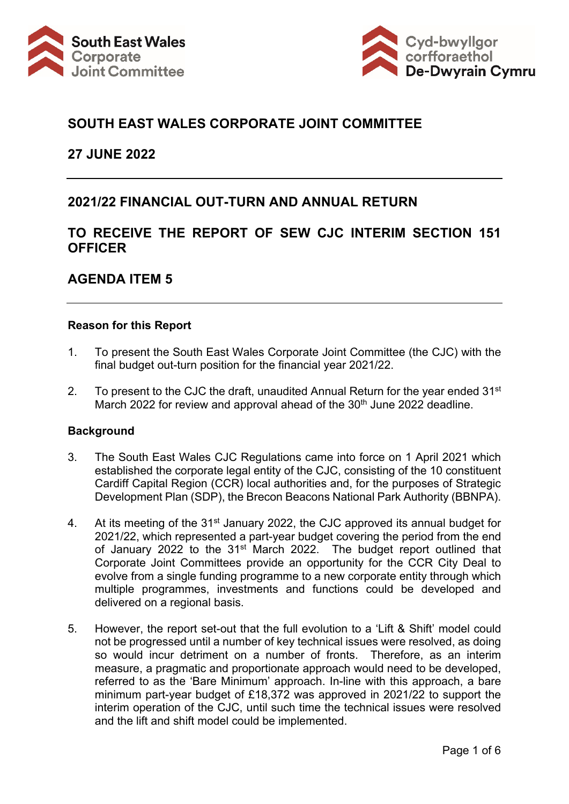



### **SOUTH EAST WALES CORPORATE JOINT COMMITTEE**

#### **27 JUNE 2022**

### **2021/22 FINANCIAL OUT-TURN AND ANNUAL RETURN**

### **TO RECEIVE THE REPORT OF SEW CJC INTERIM SECTION 151 OFFICER**

### **AGENDA ITEM 5**

#### **Reason for this Report**

- 1. To present the South East Wales Corporate Joint Committee (the CJC) with the final budget out-turn position for the financial year 2021/22.
- 2. To present to the CJC the draft, unaudited Annual Return for the year ended  $31^{st}$ March 2022 for review and approval ahead of the 30<sup>th</sup> June 2022 deadline.

#### **Background**

- 3. The South East Wales CJC Regulations came into force on 1 April 2021 which established the corporate legal entity of the CJC, consisting of the 10 constituent Cardiff Capital Region (CCR) local authorities and, for the purposes of Strategic Development Plan (SDP), the Brecon Beacons National Park Authority (BBNPA).
- 4. At its meeting of the 31<sup>st</sup> January 2022, the CJC approved its annual budget for 2021/22, which represented a part-year budget covering the period from the end of January 2022 to the 31<sup>st</sup> March 2022. The budget report outlined that Corporate Joint Committees provide an opportunity for the CCR City Deal to evolve from a single funding programme to a new corporate entity through which multiple programmes, investments and functions could be developed and delivered on a regional basis.
- 5. However, the report set-out that the full evolution to a 'Lift & Shift' model could not be progressed until a number of key technical issues were resolved, as doing so would incur detriment on a number of fronts. Therefore, as an interim measure, a pragmatic and proportionate approach would need to be developed, referred to as the 'Bare Minimum' approach. In-line with this approach, a bare minimum part-year budget of £18,372 was approved in 2021/22 to support the interim operation of the CJC, until such time the technical issues were resolved and the lift and shift model could be implemented.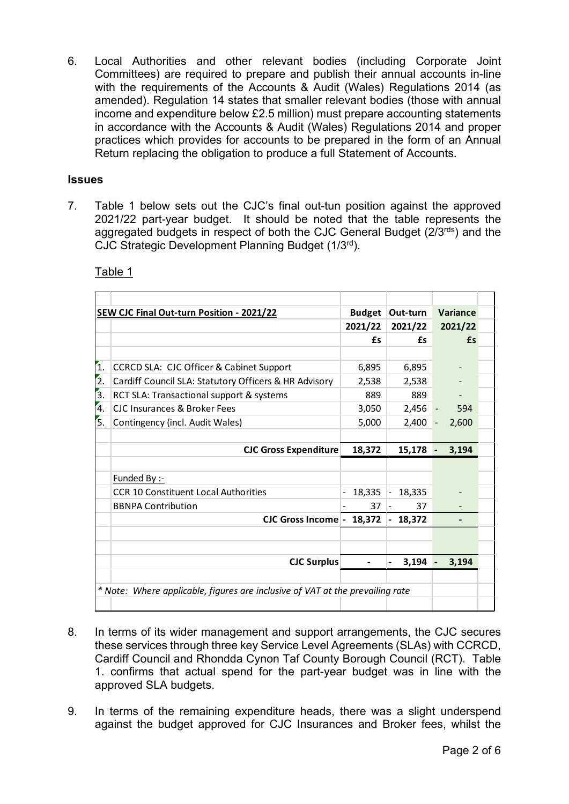6. Local Authorities and other relevant bodies (including Corporate Joint Committees) are required to prepare and publish their annual accounts in-line with the requirements of the Accounts & Audit (Wales) Regulations 2014 (as amended). Regulation 14 states that smaller relevant bodies (those with annual income and expenditure below £2.5 million) must prepare accounting statements in accordance with the Accounts & Audit (Wales) Regulations 2014 and proper practices which provides for accounts to be prepared in the form of an Annual Return replacing the obligation to produce a full Statement of Accounts.

#### **Issues**

7. Table 1 below sets out the CJC's final out-tun position against the approved 2021/22 part-year budget. It should be noted that the table represents the aggregated budgets in respect of both the CJC General Budget (2/3rds) and the CJC Strategic Development Planning Budget (1/3rd).

| <b>SEW CJC Final Out-turn Position - 2021/22</b>      | <b>Budget</b> | Out-turn                  | Variance                                                                      |  |
|-------------------------------------------------------|---------------|---------------------------|-------------------------------------------------------------------------------|--|
|                                                       | 2021/22       | 2021/22                   | 2021/22                                                                       |  |
|                                                       | £s            | £s                        | £s                                                                            |  |
|                                                       |               |                           |                                                                               |  |
| CCRCD SLA: CJC Officer & Cabinet Support              | 6,895         | 6,895                     |                                                                               |  |
| Cardiff Council SLA: Statutory Officers & HR Advisory | 2,538         | 2,538                     |                                                                               |  |
| RCT SLA: Transactional support & systems              | 889           | 889                       |                                                                               |  |
| CJC Insurances & Broker Fees                          | 3,050         | 2,456                     | $\overline{\phantom{0}}$<br>594                                               |  |
| Contingency (incl. Audit Wales)                       | 5,000         | 2,400                     | 2,600<br>$\overline{\phantom{0}}$                                             |  |
|                                                       |               |                           |                                                                               |  |
| <b>CJC Gross Expenditure</b>                          | 18,372        | 15,178                    | 3,194                                                                         |  |
|                                                       |               |                           |                                                                               |  |
| <b>Funded By:-</b>                                    |               |                           |                                                                               |  |
| <b>CCR 10 Constituent Local Authorities</b>           | 18,335        | 18,335<br>$\frac{1}{2}$   |                                                                               |  |
| <b>BBNPA Contribution</b>                             | 37            | 37                        |                                                                               |  |
|                                                       |               | 18,372<br>$\blacksquare$  |                                                                               |  |
|                                                       |               |                           |                                                                               |  |
|                                                       |               |                           |                                                                               |  |
| <b>CJC Surplus</b>                                    |               | 3,194                     | 3,194                                                                         |  |
|                                                       |               |                           |                                                                               |  |
|                                                       |               |                           |                                                                               |  |
|                                                       |               |                           |                                                                               |  |
|                                                       |               | CJC Gross Income - 18,372 | * Note: Where applicable, figures are inclusive of VAT at the prevailing rate |  |

Table 1

- 8. In terms of its wider management and support arrangements, the CJC secures these services through three key Service Level Agreements (SLAs) with CCRCD, Cardiff Council and Rhondda Cynon Taf County Borough Council (RCT). Table 1. confirms that actual spend for the part-year budget was in line with the approved SLA budgets.
- 9. In terms of the remaining expenditure heads, there was a slight underspend against the budget approved for CJC Insurances and Broker fees, whilst the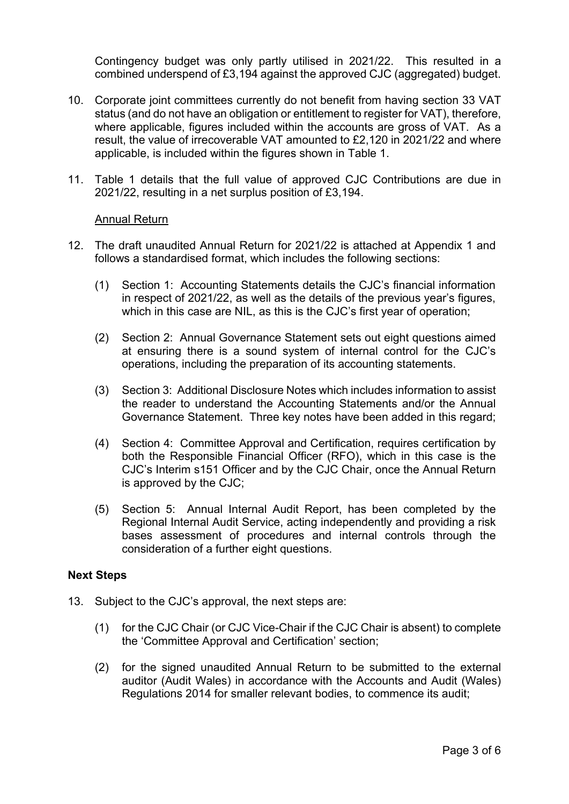Contingency budget was only partly utilised in 2021/22. This resulted in a combined underspend of £3,194 against the approved CJC (aggregated) budget.

- 10. Corporate joint committees currently do not benefit from having section 33 VAT status (and do not have an obligation or entitlement to register for VAT), therefore, where applicable, figures included within the accounts are gross of VAT. As a result, the value of irrecoverable VAT amounted to £2,120 in 2021/22 and where applicable, is included within the figures shown in Table 1.
- 11. Table 1 details that the full value of approved CJC Contributions are due in 2021/22, resulting in a net surplus position of £3,194.

#### Annual Return

- 12. The draft unaudited Annual Return for 2021/22 is attached at Appendix 1 and follows a standardised format, which includes the following sections:
	- (1) Section 1: Accounting Statements details the CJC's financial information in respect of 2021/22, as well as the details of the previous year's figures, which in this case are NIL, as this is the CJC's first year of operation;
	- (2) Section 2: Annual Governance Statement sets out eight questions aimed at ensuring there is a sound system of internal control for the CJC's operations, including the preparation of its accounting statements.
	- (3) Section 3: Additional Disclosure Notes which includes information to assist the reader to understand the Accounting Statements and/or the Annual Governance Statement. Three key notes have been added in this regard;
	- (4) Section 4: Committee Approval and Certification, requires certification by both the Responsible Financial Officer (RFO), which in this case is the CJC's Interim s151 Officer and by the CJC Chair, once the Annual Return is approved by the CJC;
	- (5) Section 5: Annual Internal Audit Report, has been completed by the Regional Internal Audit Service, acting independently and providing a risk bases assessment of procedures and internal controls through the consideration of a further eight questions.

#### **Next Steps**

- 13. Subject to the CJC's approval, the next steps are:
	- (1) for the CJC Chair (or CJC Vice-Chair if the CJC Chair is absent) to complete the 'Committee Approval and Certification' section;
	- (2) for the signed unaudited Annual Return to be submitted to the external auditor (Audit Wales) in accordance with the Accounts and Audit (Wales) Regulations 2014 for smaller relevant bodies, to commence its audit;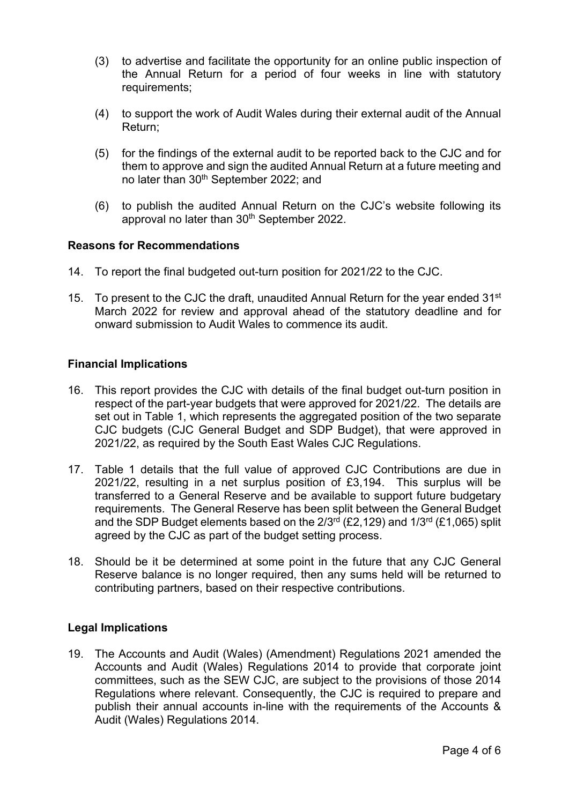- (3) to advertise and facilitate the opportunity for an online public inspection of the Annual Return for a period of four weeks in line with statutory requirements;
- (4) to support the work of Audit Wales during their external audit of the Annual Return;
- (5) for the findings of the external audit to be reported back to the CJC and for them to approve and sign the audited Annual Return at a future meeting and no later than 30<sup>th</sup> September 2022; and
- (6) to publish the audited Annual Return on the CJC's website following its approval no later than 30<sup>th</sup> September 2022.

#### **Reasons for Recommendations**

- 14. To report the final budgeted out-turn position for 2021/22 to the CJC.
- 15. To present to the CJC the draft, unaudited Annual Return for the year ended  $31^{st}$ March 2022 for review and approval ahead of the statutory deadline and for onward submission to Audit Wales to commence its audit.

#### **Financial Implications**

- 16. This report provides the CJC with details of the final budget out-turn position in respect of the part-year budgets that were approved for 2021/22. The details are set out in Table 1, which represents the aggregated position of the two separate CJC budgets (CJC General Budget and SDP Budget), that were approved in 2021/22, as required by the South East Wales CJC Regulations.
- 17. Table 1 details that the full value of approved CJC Contributions are due in 2021/22, resulting in a net surplus position of £3,194. This surplus will be transferred to a General Reserve and be available to support future budgetary requirements. The General Reserve has been split between the General Budget and the SDP Budget elements based on the  $2/3^{rd}$  (£2,129) and  $1/3^{rd}$  (£1,065) split agreed by the CJC as part of the budget setting process.
- 18. Should be it be determined at some point in the future that any CJC General Reserve balance is no longer required, then any sums held will be returned to contributing partners, based on their respective contributions.

#### **Legal Implications**

19. The Accounts and Audit (Wales) (Amendment) Regulations 2021 amended the Accounts and Audit (Wales) Regulations 2014 to provide that corporate joint committees, such as the SEW CJC, are subject to the provisions of those 2014 Regulations where relevant. Consequently, the CJC is required to prepare and publish their annual accounts in-line with the requirements of the Accounts & Audit (Wales) Regulations 2014.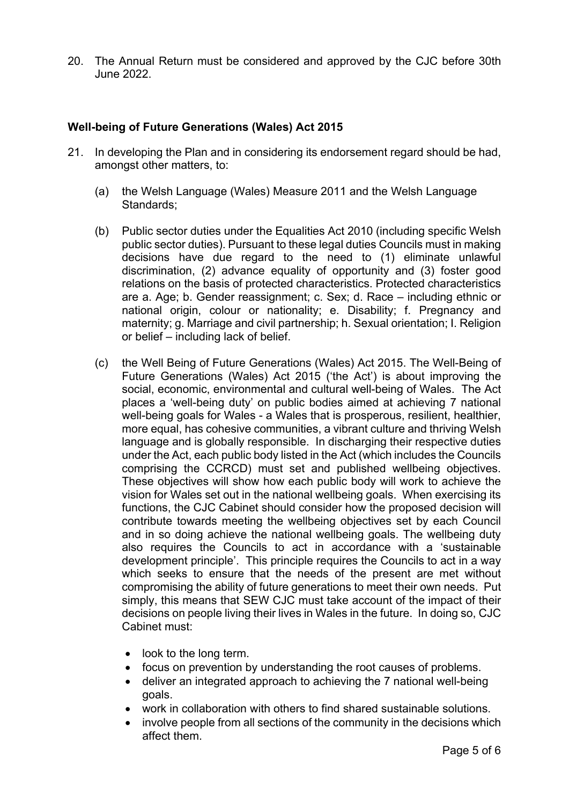20. The Annual Return must be considered and approved by the CJC before 30th June 2022.

#### **Well-being of Future Generations (Wales) Act 2015**

- 21. In developing the Plan and in considering its endorsement regard should be had, amongst other matters, to:
	- (a) the Welsh Language (Wales) Measure 2011 and the Welsh Language Standards;
	- (b) Public sector duties under the Equalities Act 2010 (including specific Welsh public sector duties). Pursuant to these legal duties Councils must in making decisions have due regard to the need to (1) eliminate unlawful discrimination, (2) advance equality of opportunity and (3) foster good relations on the basis of protected characteristics. Protected characteristics are a. Age; b. Gender reassignment; c. Sex; d. Race – including ethnic or national origin, colour or nationality; e. Disability; f. Pregnancy and maternity; g. Marriage and civil partnership; h. Sexual orientation; I. Religion or belief – including lack of belief.
	- (c) the Well Being of Future Generations (Wales) Act 2015. The Well-Being of Future Generations (Wales) Act 2015 ('the Act') is about improving the social, economic, environmental and cultural well-being of Wales. The Act places a 'well-being duty' on public bodies aimed at achieving 7 national well-being goals for Wales - a Wales that is prosperous, resilient, healthier, more equal, has cohesive communities, a vibrant culture and thriving Welsh language and is globally responsible. In discharging their respective duties under the Act, each public body listed in the Act (which includes the Councils comprising the CCRCD) must set and published wellbeing objectives. These objectives will show how each public body will work to achieve the vision for Wales set out in the national wellbeing goals. When exercising its functions, the CJC Cabinet should consider how the proposed decision will contribute towards meeting the wellbeing objectives set by each Council and in so doing achieve the national wellbeing goals. The wellbeing duty also requires the Councils to act in accordance with a 'sustainable development principle'. This principle requires the Councils to act in a way which seeks to ensure that the needs of the present are met without compromising the ability of future generations to meet their own needs. Put simply, this means that SEW CJC must take account of the impact of their decisions on people living their lives in Wales in the future. In doing so, CJC Cabinet must:
		- look to the long term.
		- focus on prevention by understanding the root causes of problems.
		- deliver an integrated approach to achieving the 7 national well-being goals.
		- work in collaboration with others to find shared sustainable solutions.
		- involve people from all sections of the community in the decisions which affect them.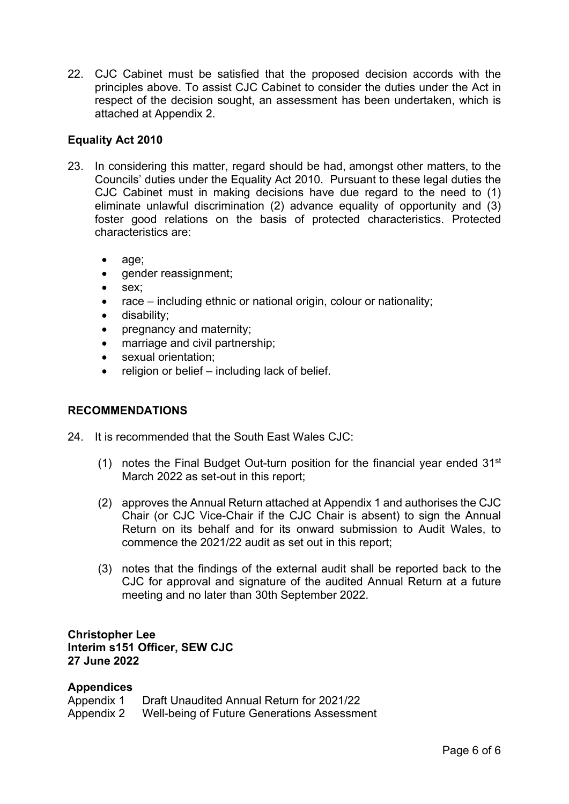22. CJC Cabinet must be satisfied that the proposed decision accords with the principles above. To assist CJC Cabinet to consider the duties under the Act in respect of the decision sought, an assessment has been undertaken, which is attached at Appendix 2.

### **Equality Act 2010**

- 23. In considering this matter, regard should be had, amongst other matters, to the Councils' duties under the Equality Act 2010. Pursuant to these legal duties the CJC Cabinet must in making decisions have due regard to the need to (1) eliminate unlawful discrimination (2) advance equality of opportunity and (3) foster good relations on the basis of protected characteristics. Protected characteristics are:
	- age;
	- gender reassignment;
	- sex;
	- race including ethnic or national origin, colour or nationality;
	- disability;
	- pregnancy and maternity;
	- marriage and civil partnership;
	- sexual orientation;
	- religion or belief including lack of belief.

#### **RECOMMENDATIONS**

- 24. It is recommended that the South Fast Wales CJC:
	- (1) notes the Final Budget Out-turn position for the financial year ended  $31<sup>st</sup>$ March 2022 as set-out in this report;
	- (2) approves the Annual Return attached at Appendix 1 and authorises the CJC Chair (or CJC Vice-Chair if the CJC Chair is absent) to sign the Annual Return on its behalf and for its onward submission to Audit Wales, to commence the 2021/22 audit as set out in this report;
	- (3) notes that the findings of the external audit shall be reported back to the CJC for approval and signature of the audited Annual Return at a future meeting and no later than 30th September 2022.

#### **Christopher Lee Interim s151 Officer, SEW CJC 27 June 2022**

#### **Appendices**

| Appendix 1 | Draft Unaudited Annual Return for 2021/22   |
|------------|---------------------------------------------|
| Appendix 2 | Well-being of Future Generations Assessment |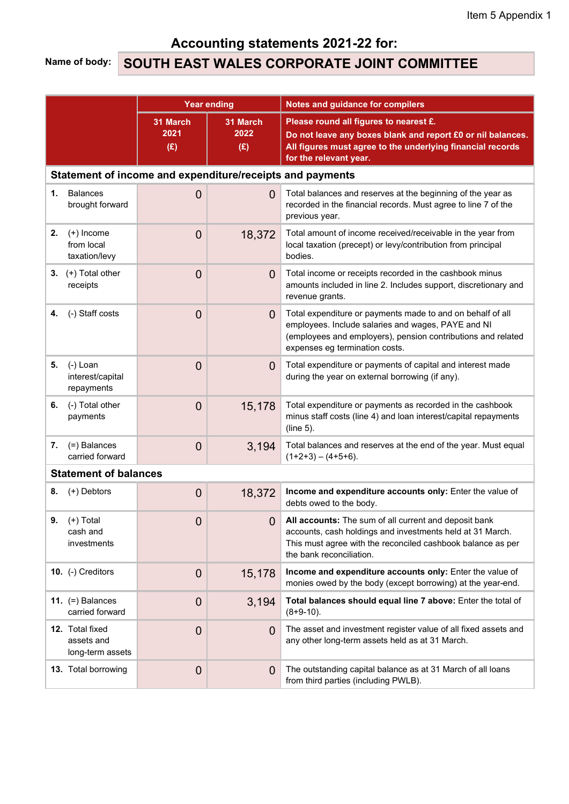# Accounting statements 2021-22 for:

# Name of body: SOUTH EAST WALES CORPORATE JOINT COMMITTEE

|                                                           | <b>Year ending</b>      |                         | <b>Notes and guidance for compilers</b>                                                                                                                                                                            |  |  |  |  |  |
|-----------------------------------------------------------|-------------------------|-------------------------|--------------------------------------------------------------------------------------------------------------------------------------------------------------------------------------------------------------------|--|--|--|--|--|
|                                                           | 31 March<br>2021<br>(E) | 31 March<br>2022<br>(E) | Please round all figures to nearest £.<br>Do not leave any boxes blank and report £0 or nil balances.<br>All figures must agree to the underlying financial records<br>for the relevant year.                      |  |  |  |  |  |
| Statement of income and expenditure/receipts and payments |                         |                         |                                                                                                                                                                                                                    |  |  |  |  |  |
| <b>Balances</b><br>1.<br>brought forward                  | $\overline{0}$          | $\overline{0}$          | Total balances and reserves at the beginning of the year as<br>recorded in the financial records. Must agree to line 7 of the<br>previous year.                                                                    |  |  |  |  |  |
| $(+)$ Income<br>2.<br>from local<br>taxation/levy         | $\overline{0}$          | 18,372                  | Total amount of income received/receivable in the year from<br>local taxation (precept) or levy/contribution from principal<br>bodies.                                                                             |  |  |  |  |  |
| 3. $(+)$ Total other<br>receipts                          | $\overline{0}$          | $\overline{0}$          | Total income or receipts recorded in the cashbook minus<br>amounts included in line 2. Includes support, discretionary and<br>revenue grants.                                                                      |  |  |  |  |  |
| (-) Staff costs<br>4.                                     | $\overline{0}$          | $\overline{0}$          | Total expenditure or payments made to and on behalf of all<br>employees. Include salaries and wages, PAYE and NI<br>(employees and employers), pension contributions and related<br>expenses eg termination costs. |  |  |  |  |  |
| (-) Loan<br>5.<br>interest/capital<br>repayments          | $\overline{0}$          | $\overline{0}$          | Total expenditure or payments of capital and interest made<br>during the year on external borrowing (if any).                                                                                                      |  |  |  |  |  |
| (-) Total other<br>6.<br>payments                         | $\overline{0}$          | 15,178                  | Total expenditure or payments as recorded in the cashbook<br>minus staff costs (line 4) and loan interest/capital repayments<br>(line 5).                                                                          |  |  |  |  |  |
| (=) Balances<br>7.<br>carried forward                     | $\overline{0}$          | 3,194                   | Total balances and reserves at the end of the year. Must equal<br>$(1+2+3) - (4+5+6)$ .                                                                                                                            |  |  |  |  |  |
| <b>Statement of balances</b>                              |                         |                         |                                                                                                                                                                                                                    |  |  |  |  |  |
| (+) Debtors<br>8.                                         | $\overline{0}$          | 18,372                  | Income and expenditure accounts only: Enter the value of<br>debts owed to the body.                                                                                                                                |  |  |  |  |  |
| 9. $(+)$ Total<br>cash and<br>investments                 | $\mathbf 0$             |                         | All accounts: The sum of all current and deposit bank<br>accounts, cash holdings and investments held at 31 March.<br>This must agree with the reconciled cashbook balance as per<br>the bank reconciliation.      |  |  |  |  |  |
| 10. (-) Creditors                                         | $\mathbf 0$             | 15,178                  | Income and expenditure accounts only: Enter the value of<br>monies owed by the body (except borrowing) at the year-end.                                                                                            |  |  |  |  |  |
| 11. $(=)$ Balances<br>carried forward                     | $\mathbf 0$             | 3,194                   | Total balances should equal line 7 above: Enter the total of<br>$(8+9-10)$ .                                                                                                                                       |  |  |  |  |  |
| 12. Total fixed<br>assets and<br>long-term assets         | $\mathbf 0$             | $\overline{0}$          | The asset and investment register value of all fixed assets and<br>any other long-term assets held as at 31 March.                                                                                                 |  |  |  |  |  |
| 13. Total borrowing                                       | $\mathbf 0$             | $\overline{0}$          | The outstanding capital balance as at 31 March of all loans<br>from third parties (including PWLB).                                                                                                                |  |  |  |  |  |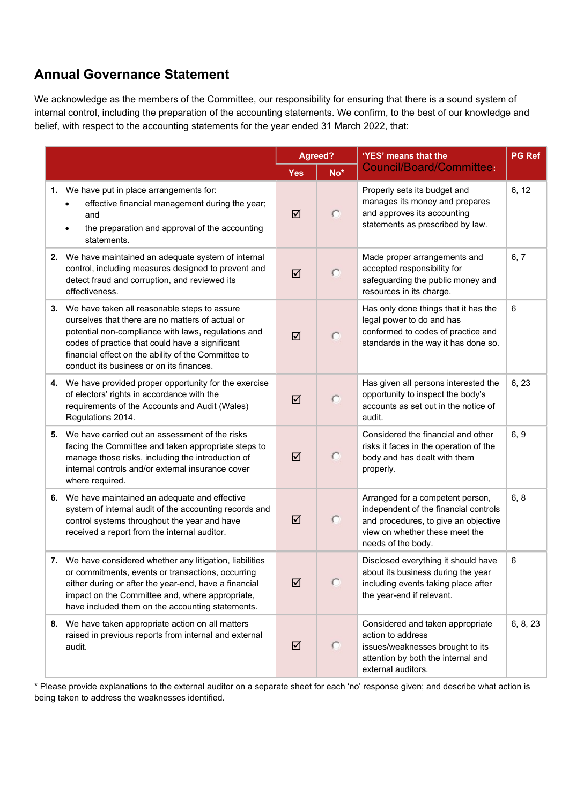# Annual Governance Statement

We acknowledge as the members of the Committee, our responsibility for ensuring that there is a sound system of internal control, including the preparation of the accounting statements. We confirm, to the best of our knowledge and belief, with respect to the accounting statements for the year ended 31 March 2022, that:

|    |                                                                                                                                                                                                                                                                                                                  | Agreed?    |                          | 'YES' means that the                                                                                                                                                      | <b>PG</b> Ref |
|----|------------------------------------------------------------------------------------------------------------------------------------------------------------------------------------------------------------------------------------------------------------------------------------------------------------------|------------|--------------------------|---------------------------------------------------------------------------------------------------------------------------------------------------------------------------|---------------|
|    |                                                                                                                                                                                                                                                                                                                  | <b>Yes</b> | $\overline{\text{No}}^*$ | <b>Council/Board/Committee:</b>                                                                                                                                           |               |
|    | 1. We have put in place arrangements for:<br>effective financial management during the year;<br>and<br>the preparation and approval of the accounting<br>statements.                                                                                                                                             | ☑          | c                        | Properly sets its budget and<br>manages its money and prepares<br>and approves its accounting<br>statements as prescribed by law.                                         | 6, 12         |
|    | 2. We have maintained an adequate system of internal<br>control, including measures designed to prevent and<br>detect fraud and corruption, and reviewed its<br>effectiveness.                                                                                                                                   | ☑          | $\circ$                  | Made proper arrangements and<br>accepted responsibility for<br>safeguarding the public money and<br>resources in its charge.                                              | 6, 7          |
|    | 3. We have taken all reasonable steps to assure<br>ourselves that there are no matters of actual or<br>potential non-compliance with laws, regulations and<br>codes of practice that could have a significant<br>financial effect on the ability of the Committee to<br>conduct its business or on its finances. | ☑          | c                        | Has only done things that it has the<br>legal power to do and has<br>conformed to codes of practice and<br>standards in the way it has done so.                           | 6             |
|    | 4. We have provided proper opportunity for the exercise<br>of electors' rights in accordance with the<br>requirements of the Accounts and Audit (Wales)<br>Regulations 2014.                                                                                                                                     | ☑          | $\circ$                  | Has given all persons interested the<br>opportunity to inspect the body's<br>accounts as set out in the notice of<br>audit.                                               | 6, 23         |
| 5. | We have carried out an assessment of the risks<br>facing the Committee and taken appropriate steps to<br>manage those risks, including the introduction of<br>internal controls and/or external insurance cover<br>where required.                                                                               | ☑          | o                        | Considered the financial and other<br>risks it faces in the operation of the<br>body and has dealt with them<br>properly.                                                 | 6, 9          |
|    | 6. We have maintained an adequate and effective<br>system of internal audit of the accounting records and<br>control systems throughout the year and have<br>received a report from the internal auditor.                                                                                                        | ☑          | $\subset$                | Arranged for a competent person,<br>independent of the financial controls<br>and procedures, to give an objective<br>view on whether these meet the<br>needs of the body. | 6, 8          |
|    | 7. We have considered whether any litigation, liabilities<br>or commitments, events or transactions, occurring<br>either during or after the year-end, have a financial<br>impact on the Committee and, where appropriate,<br>have included them on the accounting statements.                                   | ☑          | o                        | Disclosed everything it should have<br>about its business during the year<br>including events taking place after<br>the year-end if relevant.                             | 6             |
| 8. | We have taken appropriate action on all matters<br>raised in previous reports from internal and external<br>audit.                                                                                                                                                                                               | ☑          | o                        | Considered and taken appropriate<br>action to address<br>issues/weaknesses brought to its<br>attention by both the internal and<br>external auditors.                     | 6, 8, 23      |

\* Please provide explanations to the external auditor on a separate sheet for each 'no' response given; and describe what action is being taken to address the weaknesses identified.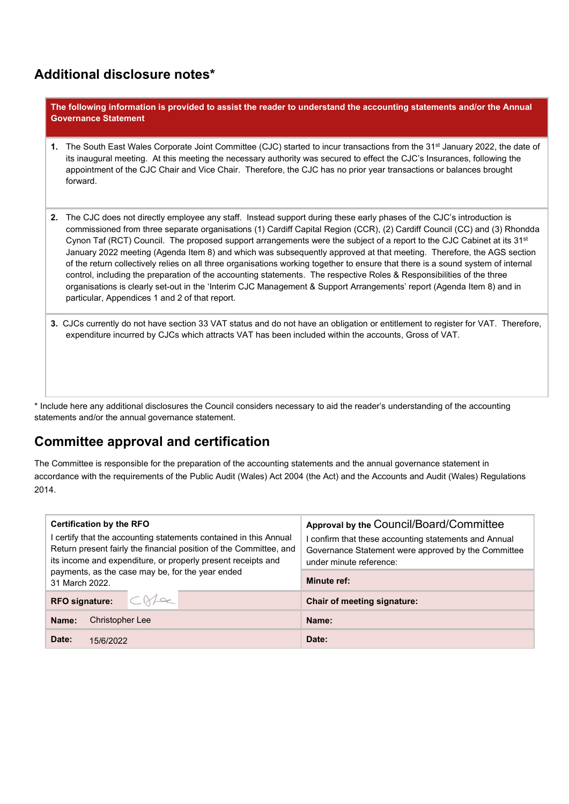### Additional disclosure notes\*

The following information is provided to assist the reader to understand the accounting statements and/or the Annual Governance Statement

- 1. The South East Wales Corporate Joint Committee (CJC) started to incur transactions from the 31<sup>st</sup> January 2022, the date of its inaugural meeting. At this meeting the necessary authority was secured to effect the CJC's Insurances, following the appointment of the CJC Chair and Vice Chair. Therefore, the CJC has no prior year transactions or balances brought forward.
- 2. The CJC does not directly employee any staff. Instead support during these early phases of the CJC's introduction is commissioned from three separate organisations (1) Cardiff Capital Region (CCR), (2) Cardiff Council (CC) and (3) Rhondda Cynon Taf (RCT) Council. The proposed support arrangements were the subject of a report to the CJC Cabinet at its 31<sup>st</sup> January 2022 meeting (Agenda Item 8) and which was subsequently approved at that meeting. Therefore, the AGS section of the return collectively relies on all three organisations working together to ensure that there is a sound system of internal control, including the preparation of the accounting statements. The respective Roles & Responsibilities of the three organisations is clearly set-out in the 'Interim CJC Management & Support Arrangements' report (Agenda Item 8) and in particular, Appendices 1 and 2 of that report.
- 3. CJCs currently do not have section 33 VAT status and do not have an obligation or entitlement to register for VAT. Therefore, expenditure incurred by CJCs which attracts VAT has been included within the accounts, Gross of VAT.

\* Include here any additional disclosures the Council considers necessary to aid the reader's understanding of the accounting statements and/or the annual governance statement.

# Committee approval and certification

The Committee is responsible for the preparation of the accounting statements and the annual governance statement in accordance with the requirements of the Public Audit (Wales) Act 2004 (the Act) and the Accounts and Audit (Wales) Regulations 2014.

| <b>Certification by the RFO</b><br>certify that the accounting statements contained in this Annual<br>Return present fairly the financial position of the Committee, and<br>its income and expenditure, or properly present receipts and<br>payments, as the case may be, for the year ended | Approval by the Council/Board/Committee<br>confirm that these accounting statements and Annual<br>Governance Statement were approved by the Committee<br>under minute reference: |  |
|----------------------------------------------------------------------------------------------------------------------------------------------------------------------------------------------------------------------------------------------------------------------------------------------|----------------------------------------------------------------------------------------------------------------------------------------------------------------------------------|--|
| 31 March 2022.                                                                                                                                                                                                                                                                               | <b>Minute ref:</b>                                                                                                                                                               |  |
| CNe<br><b>RFO signature:</b>                                                                                                                                                                                                                                                                 | Chair of meeting signature:                                                                                                                                                      |  |
| Christopher Lee<br>Name:                                                                                                                                                                                                                                                                     | Name:                                                                                                                                                                            |  |
| Date:<br>15/6/2022                                                                                                                                                                                                                                                                           | Date:                                                                                                                                                                            |  |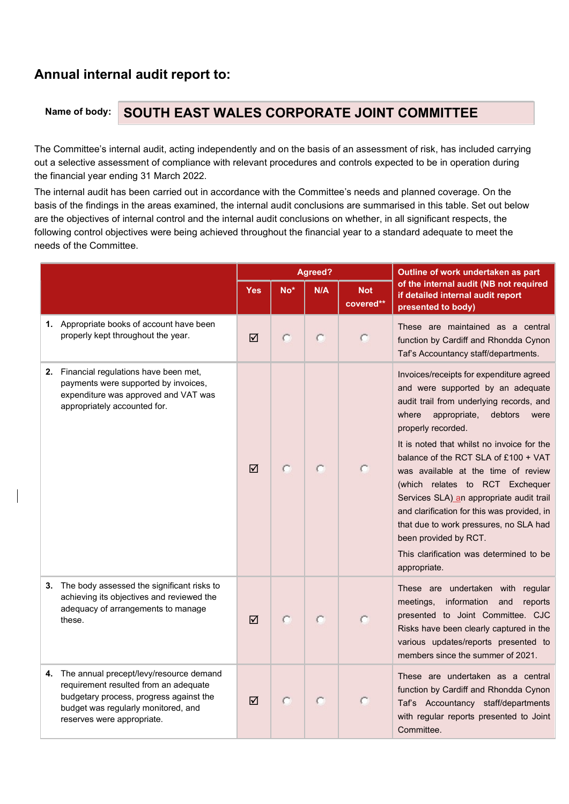# Annual internal audit report to:

# Name of body: SOUTH EAST WALES CORPORATE JOINT COMMITTEE

The Committee's internal audit, acting independently and on the basis of an assessment of risk, has included carrying out a selective assessment of compliance with relevant procedures and controls expected to be in operation during the financial year ending 31 March 2022.

The internal audit has been carried out in accordance with the Committee's needs and planned coverage. On the basis of the findings in the areas examined, the internal audit conclusions are summarised in this table. Set out below are the objectives of internal control and the internal audit conclusions on whether, in all significant respects, the following control objectives were being achieved throughout the financial year to a standard adequate to meet the needs of the Committee.

|        |                                                                                                                                                                                                     |            |       | Agreed? |                         | Outline of work undertaken as part                                                                                                                                                                                                                                                                                                                                                                                                                                                                                                                                                   |
|--------|-----------------------------------------------------------------------------------------------------------------------------------------------------------------------------------------------------|------------|-------|---------|-------------------------|--------------------------------------------------------------------------------------------------------------------------------------------------------------------------------------------------------------------------------------------------------------------------------------------------------------------------------------------------------------------------------------------------------------------------------------------------------------------------------------------------------------------------------------------------------------------------------------|
|        |                                                                                                                                                                                                     | <b>Yes</b> | $No*$ | N/A     | <b>Not</b><br>covered** | of the internal audit (NB not required<br>if detailed internal audit report<br>presented to body)                                                                                                                                                                                                                                                                                                                                                                                                                                                                                    |
|        | 1. Appropriate books of account have been<br>properly kept throughout the year.                                                                                                                     | ☑          | C     | С       |                         | These are maintained as a central<br>function by Cardiff and Rhondda Cynon<br>Taf's Accountancy staff/departments.                                                                                                                                                                                                                                                                                                                                                                                                                                                                   |
|        | 2. Financial regulations have been met,<br>payments were supported by invoices,<br>expenditure was approved and VAT was<br>appropriately accounted for.                                             | ☑          | C     | C       |                         | Invoices/receipts for expenditure agreed<br>and were supported by an adequate<br>audit trail from underlying records, and<br>where<br>appropriate,<br>debtors<br>were<br>properly recorded.<br>It is noted that whilst no invoice for the<br>balance of the RCT SLA of £100 + VAT<br>was available at the time of review<br>(which relates to RCT Exchequer<br>Services SLA) an appropriate audit trail<br>and clarification for this was provided, in<br>that due to work pressures, no SLA had<br>been provided by RCT.<br>This clarification was determined to be<br>appropriate. |
| these. | 3. The body assessed the significant risks to<br>achieving its objectives and reviewed the<br>adequacy of arrangements to manage                                                                    | ☑          | с     | C       |                         | These are undertaken with regular<br>meetings, information<br>and<br>reports<br>presented to Joint Committee. CJC<br>Risks have been clearly captured in the<br>various updates/reports presented to<br>members since the summer of 2021.                                                                                                                                                                                                                                                                                                                                            |
|        | 4. The annual precept/levy/resource demand<br>requirement resulted from an adequate<br>budgetary process, progress against the<br>budget was regularly monitored, and<br>reserves were appropriate. | ☑          |       | C       |                         | These are undertaken as a central<br>function by Cardiff and Rhondda Cynon<br>Taf's Accountancy staff/departments<br>with regular reports presented to Joint<br>Committee.                                                                                                                                                                                                                                                                                                                                                                                                           |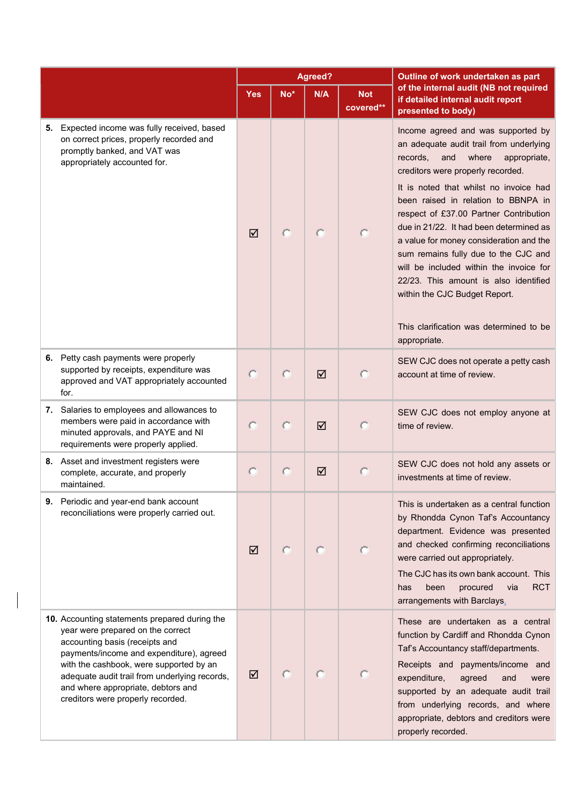|                                                                                                                                                                                                                                                                                                                                         | <b>Agreed?</b> |     |     |                         | Outline of work undertaken as part                                                                                                                                                                                                                                                                                                                                                                                                                                                                                                                                                                      |  |
|-----------------------------------------------------------------------------------------------------------------------------------------------------------------------------------------------------------------------------------------------------------------------------------------------------------------------------------------|----------------|-----|-----|-------------------------|---------------------------------------------------------------------------------------------------------------------------------------------------------------------------------------------------------------------------------------------------------------------------------------------------------------------------------------------------------------------------------------------------------------------------------------------------------------------------------------------------------------------------------------------------------------------------------------------------------|--|
|                                                                                                                                                                                                                                                                                                                                         | <b>Yes</b>     | No* | N/A | <b>Not</b><br>covered** | of the internal audit (NB not required<br>if detailed internal audit report<br>presented to body)                                                                                                                                                                                                                                                                                                                                                                                                                                                                                                       |  |
| 5. Expected income was fully received, based<br>on correct prices, properly recorded and<br>promptly banked, and VAT was<br>appropriately accounted for.                                                                                                                                                                                | ☑              |     |     |                         | Income agreed and was supported by<br>an adequate audit trail from underlying<br>records.<br>and<br>where<br>appropriate,<br>creditors were properly recorded.<br>It is noted that whilst no invoice had<br>been raised in relation to BBNPA in<br>respect of £37.00 Partner Contribution<br>due in 21/22. It had been determined as<br>a value for money consideration and the<br>sum remains fully due to the CJC and<br>will be included within the invoice for<br>22/23. This amount is also identified<br>within the CJC Budget Report.<br>This clarification was determined to be<br>appropriate. |  |
| 6. Petty cash payments were properly<br>supported by receipts, expenditure was<br>approved and VAT appropriately accounted<br>for.                                                                                                                                                                                                      |                |     | ☑   |                         | SEW CJC does not operate a petty cash<br>account at time of review.                                                                                                                                                                                                                                                                                                                                                                                                                                                                                                                                     |  |
| 7. Salaries to employees and allowances to<br>members were paid in accordance with<br>minuted approvals, and PAYE and NI<br>requirements were properly applied.                                                                                                                                                                         |                |     | ☑   |                         | SEW CJC does not employ anyone at<br>time of review.                                                                                                                                                                                                                                                                                                                                                                                                                                                                                                                                                    |  |
| 8. Asset and investment registers were<br>complete, accurate, and properly<br>maintained.                                                                                                                                                                                                                                               |                |     | ☑   |                         | SEW CJC does not hold any assets or<br>investments at time of review.                                                                                                                                                                                                                                                                                                                                                                                                                                                                                                                                   |  |
| 9. Periodic and year-end bank account<br>reconciliations were properly carried out.                                                                                                                                                                                                                                                     | ☑              |     |     |                         | This is undertaken as a central function<br>by Rhondda Cynon Taf's Accountancy<br>department. Evidence was presented<br>and checked confirming reconciliations<br>were carried out appropriately.<br>The CJC has its own bank account. This<br><b>RCT</b><br>procured<br>been<br>via<br>has<br>arrangements with Barclays.                                                                                                                                                                                                                                                                              |  |
| 10. Accounting statements prepared during the<br>year were prepared on the correct<br>accounting basis (receipts and<br>payments/income and expenditure), agreed<br>with the cashbook, were supported by an<br>adequate audit trail from underlying records,<br>and where appropriate, debtors and<br>creditors were properly recorded. | ☑              |     |     |                         | These are undertaken as a central<br>function by Cardiff and Rhondda Cynon<br>Taf's Accountancy staff/departments.<br>Receipts and payments/income and<br>agreed<br>expenditure,<br>and<br>were<br>supported by an adequate audit trail<br>from underlying records, and where<br>appropriate, debtors and creditors were<br>properly recorded.                                                                                                                                                                                                                                                          |  |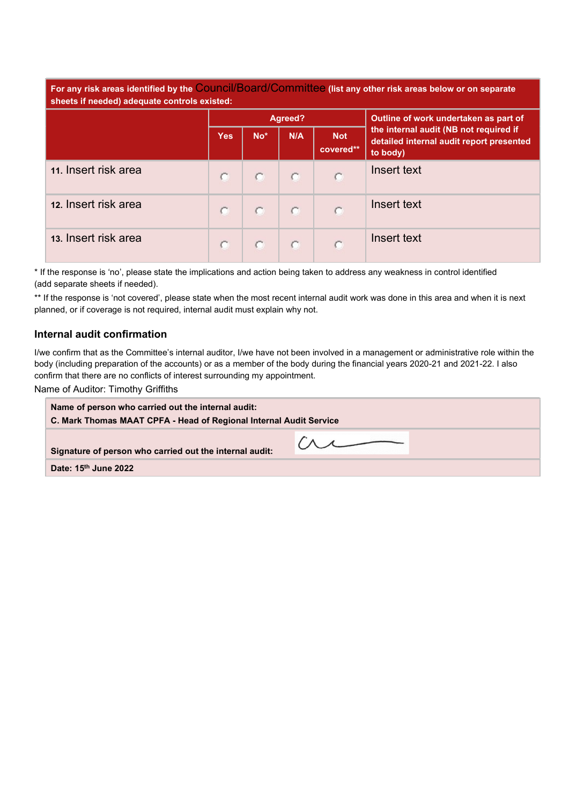For any risk areas identified by the Council/Board/Committee (list any other risk areas below or on separate sheets if needed) adequate controls existed:

|                      |            |       | Agreed? |                         | Outline of work undertaken as part of                                                          |
|----------------------|------------|-------|---------|-------------------------|------------------------------------------------------------------------------------------------|
|                      | <b>Yes</b> | $No*$ | N/A     | <b>Not</b><br>covered** | the internal audit (NB not required if<br>detailed internal audit report presented<br>to body) |
| 11. Insert risk area |            | O.    |         | c                       | Insert text                                                                                    |
| 12. Insert risk area |            |       |         | c                       | Insert text                                                                                    |
| 13. Insert risk area |            |       |         | o                       | Insert text                                                                                    |

\* If the response is 'no', please state the implications and action being taken to address any weakness in control identified (add separate sheets if needed).

\*\* If the response is 'not covered', please state when the most recent internal audit work was done in this area and when it is next planned, or if coverage is not required, internal audit must explain why not.

#### Internal audit confirmation

I/we confirm that as the Committee's internal auditor, I/we have not been involved in a management or administrative role within the body (including preparation of the accounts) or as a member of the body during the financial years 2020-21 and 2021-22. I also confirm that there are no conflicts of interest surrounding my appointment.

Name of Auditor: Timothy Griffiths

| Name of person who carried out the internal audit:<br>C. Mark Thomas MAAT CPFA - Head of Regional Internal Audit Service |  |  |  |  |
|--------------------------------------------------------------------------------------------------------------------------|--|--|--|--|
| Signature of person who carried out the internal audit:                                                                  |  |  |  |  |
| Date: 15 <sup>th</sup> June 2022                                                                                         |  |  |  |  |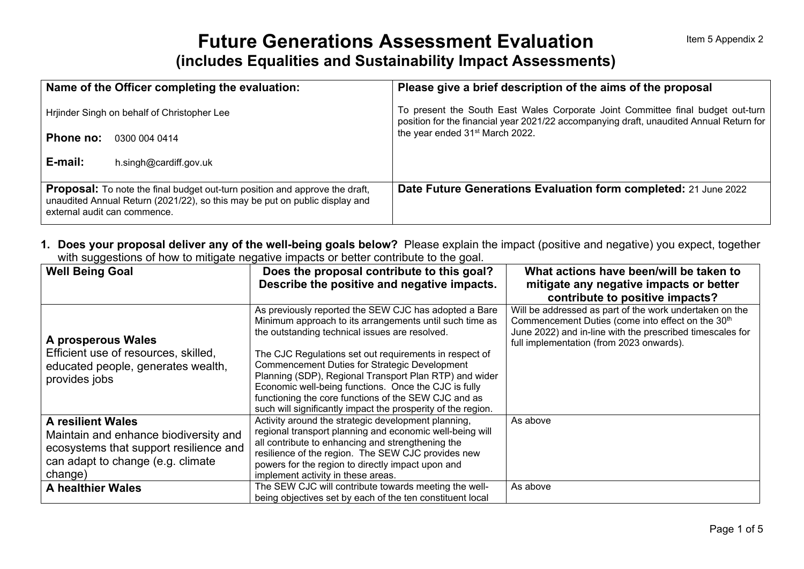# **Future Generations Assessment Evaluation (includes Equalities and Sustainability Impact Assessments)**

| Name of the Officer completing the evaluation:                                                                                                                                                    | Please give a brief description of the aims of the proposal                                                                                                                |
|---------------------------------------------------------------------------------------------------------------------------------------------------------------------------------------------------|----------------------------------------------------------------------------------------------------------------------------------------------------------------------------|
| Hrjinder Singh on behalf of Christopher Lee                                                                                                                                                       | To present the South East Wales Corporate Joint Committee final budget out-turn<br>position for the financial year 2021/22 accompanying draft, unaudited Annual Return for |
| Phone no:<br>0300 004 0414                                                                                                                                                                        | the year ended 31 <sup>st</sup> March 2022.                                                                                                                                |
| E-mail:<br>h.singh@cardiff.gov.uk                                                                                                                                                                 |                                                                                                                                                                            |
| <b>Proposal:</b> To note the final budget out-turn position and approve the draft,<br>unaudited Annual Return (2021/22), so this may be put on public display and<br>external audit can commence. | Date Future Generations Evaluation form completed: 21 June 2022                                                                                                            |

**1. Does your proposal deliver any of the well-being goals below?** Please explain the impact (positive and negative) you expect, together with suggestions of how to mitigate negative impacts or better contribute to the goal.

| . <del>.</del><br><b>Well Being Goal</b> | Does the proposal contribute to this goal?                                                                                                                         | What actions have been/will be taken to                                                                                                                                                                                           |
|------------------------------------------|--------------------------------------------------------------------------------------------------------------------------------------------------------------------|-----------------------------------------------------------------------------------------------------------------------------------------------------------------------------------------------------------------------------------|
|                                          | Describe the positive and negative impacts.                                                                                                                        | mitigate any negative impacts or better                                                                                                                                                                                           |
|                                          |                                                                                                                                                                    | contribute to positive impacts?                                                                                                                                                                                                   |
| A prosperous Wales                       | As previously reported the SEW CJC has adopted a Bare<br>Minimum approach to its arrangements until such time as<br>the outstanding technical issues are resolved. | Will be addressed as part of the work undertaken on the<br>Commencement Duties (come into effect on the 30 <sup>th</sup><br>June 2022) and in-line with the prescribed timescales for<br>full implementation (from 2023 onwards). |
| Efficient use of resources, skilled,     | The CJC Regulations set out requirements in respect of                                                                                                             |                                                                                                                                                                                                                                   |
| educated people, generates wealth,       | <b>Commencement Duties for Strategic Development</b>                                                                                                               |                                                                                                                                                                                                                                   |
| provides jobs                            | Planning (SDP), Regional Transport Plan RTP) and wider                                                                                                             |                                                                                                                                                                                                                                   |
|                                          | Economic well-being functions. Once the CJC is fully                                                                                                               |                                                                                                                                                                                                                                   |
|                                          | functioning the core functions of the SEW CJC and as                                                                                                               |                                                                                                                                                                                                                                   |
|                                          | such will significantly impact the prosperity of the region.                                                                                                       |                                                                                                                                                                                                                                   |
| <b>A resilient Wales</b>                 | Activity around the strategic development planning,                                                                                                                | As above                                                                                                                                                                                                                          |
| Maintain and enhance biodiversity and    | regional transport planning and economic well-being will                                                                                                           |                                                                                                                                                                                                                                   |
| ecosystems that support resilience and   | all contribute to enhancing and strengthening the                                                                                                                  |                                                                                                                                                                                                                                   |
| can adapt to change (e.g. climate        | resilience of the region. The SEW CJC provides new                                                                                                                 |                                                                                                                                                                                                                                   |
| change)                                  | powers for the region to directly impact upon and                                                                                                                  |                                                                                                                                                                                                                                   |
|                                          | implement activity in these areas.                                                                                                                                 |                                                                                                                                                                                                                                   |
| <b>A healthier Wales</b>                 | The SEW CJC will contribute towards meeting the well-                                                                                                              | As above                                                                                                                                                                                                                          |
|                                          | being objectives set by each of the ten constituent local                                                                                                          |                                                                                                                                                                                                                                   |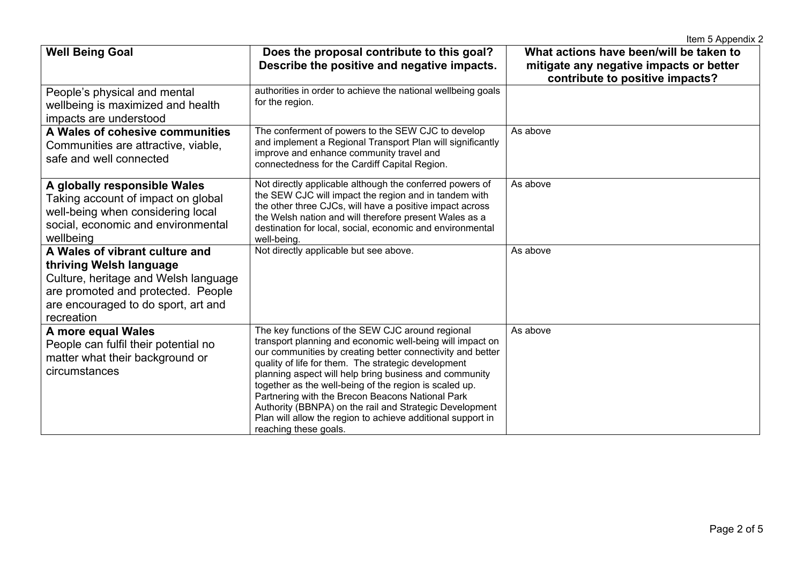|                                                                                                                                                                                              |                                                                                                                                                                                                                                                                                                                                                                                                                                                                                                                                                               | Item 5 Appendix 2                                                                                                     |
|----------------------------------------------------------------------------------------------------------------------------------------------------------------------------------------------|---------------------------------------------------------------------------------------------------------------------------------------------------------------------------------------------------------------------------------------------------------------------------------------------------------------------------------------------------------------------------------------------------------------------------------------------------------------------------------------------------------------------------------------------------------------|-----------------------------------------------------------------------------------------------------------------------|
| <b>Well Being Goal</b>                                                                                                                                                                       | Does the proposal contribute to this goal?<br>Describe the positive and negative impacts.                                                                                                                                                                                                                                                                                                                                                                                                                                                                     | What actions have been/will be taken to<br>mitigate any negative impacts or better<br>contribute to positive impacts? |
| People's physical and mental<br>wellbeing is maximized and health<br>impacts are understood                                                                                                  | authorities in order to achieve the national wellbeing goals<br>for the region.                                                                                                                                                                                                                                                                                                                                                                                                                                                                               |                                                                                                                       |
| A Wales of cohesive communities<br>Communities are attractive, viable,<br>safe and well connected                                                                                            | The conferment of powers to the SEW CJC to develop<br>and implement a Regional Transport Plan will significantly<br>improve and enhance community travel and<br>connectedness for the Cardiff Capital Region.                                                                                                                                                                                                                                                                                                                                                 | As above                                                                                                              |
| A globally responsible Wales<br>Taking account of impact on global<br>well-being when considering local<br>social, economic and environmental<br>wellbeing                                   | Not directly applicable although the conferred powers of<br>the SEW CJC will impact the region and in tandem with<br>the other three CJCs, will have a positive impact across<br>the Welsh nation and will therefore present Wales as a<br>destination for local, social, economic and environmental<br>well-being.                                                                                                                                                                                                                                           | As above                                                                                                              |
| A Wales of vibrant culture and<br>thriving Welsh language<br>Culture, heritage and Welsh language<br>are promoted and protected. People<br>are encouraged to do sport, art and<br>recreation | Not directly applicable but see above.                                                                                                                                                                                                                                                                                                                                                                                                                                                                                                                        | As above                                                                                                              |
| A more equal Wales<br>People can fulfil their potential no<br>matter what their background or<br>circumstances                                                                               | The key functions of the SEW CJC around regional<br>transport planning and economic well-being will impact on<br>our communities by creating better connectivity and better<br>quality of life for them. The strategic development<br>planning aspect will help bring business and community<br>together as the well-being of the region is scaled up.<br>Partnering with the Brecon Beacons National Park<br>Authority (BBNPA) on the rail and Strategic Development<br>Plan will allow the region to achieve additional support in<br>reaching these goals. | As above                                                                                                              |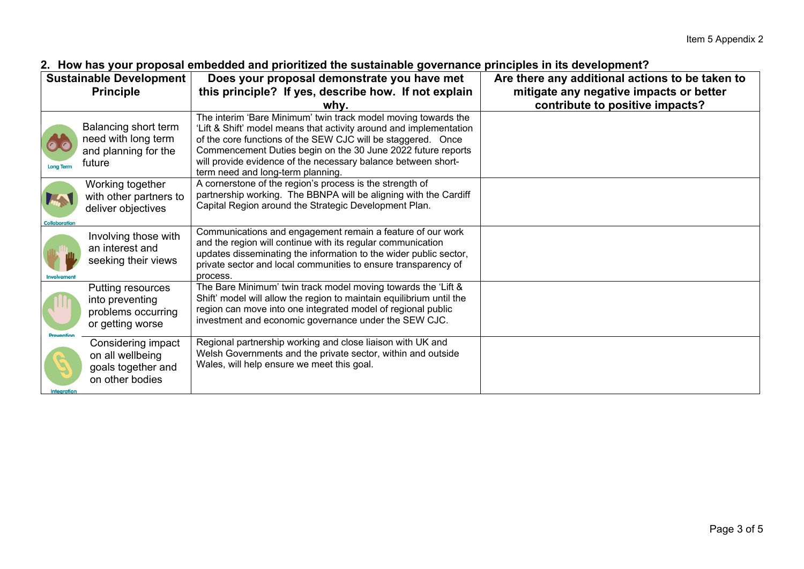| <b>Sustainable Development</b> |                                                                                 | . TION TIMO YOMI MIOMOOMI OMINOMMOM MIM MITOHINEOM NIIO OMONAMIMMIO YOTOHIMIIOO MIHIOMOOMO IN NO MOTOMMININ I<br>Does your proposal demonstrate you have met                                                                                                                                                                                                               | Are there any additional actions to be taken to |  |
|--------------------------------|---------------------------------------------------------------------------------|----------------------------------------------------------------------------------------------------------------------------------------------------------------------------------------------------------------------------------------------------------------------------------------------------------------------------------------------------------------------------|-------------------------------------------------|--|
|                                | <b>Principle</b>                                                                | this principle? If yes, describe how. If not explain                                                                                                                                                                                                                                                                                                                       | mitigate any negative impacts or better         |  |
|                                |                                                                                 | why.                                                                                                                                                                                                                                                                                                                                                                       | contribute to positive impacts?                 |  |
| <b>Long Term</b>               | Balancing short term<br>need with long term<br>and planning for the<br>future   | The interim 'Bare Minimum' twin track model moving towards the<br>'Lift & Shift' model means that activity around and implementation<br>of the core functions of the SEW CJC will be staggered. Once<br>Commencement Duties begin on the 30 June 2022 future reports<br>will provide evidence of the necessary balance between short-<br>term need and long-term planning. |                                                 |  |
| <b>Collaboration</b>           | Working together<br>with other partners to<br>deliver objectives                | A cornerstone of the region's process is the strength of<br>partnership working. The BBNPA will be aligning with the Cardiff<br>Capital Region around the Strategic Development Plan.                                                                                                                                                                                      |                                                 |  |
| Involvement                    | Involving those with<br>an interest and<br>seeking their views                  | Communications and engagement remain a feature of our work<br>and the region will continue with its regular communication<br>updates disseminating the information to the wider public sector,<br>private sector and local communities to ensure transparency of<br>process.                                                                                               |                                                 |  |
|                                | Putting resources<br>into preventing<br>problems occurring<br>or getting worse  | The Bare Minimum' twin track model moving towards the 'Lift &<br>Shift' model will allow the region to maintain equilibrium until the<br>region can move into one integrated model of regional public<br>investment and economic governance under the SEW CJC.                                                                                                             |                                                 |  |
| <b>Integration</b>             | Considering impact<br>on all wellbeing<br>goals together and<br>on other bodies | Regional partnership working and close liaison with UK and<br>Welsh Governments and the private sector, within and outside<br>Wales, will help ensure we meet this goal.                                                                                                                                                                                                   |                                                 |  |

### **2. How has your proposal embedded and prioritized the sustainable governance principles in its development?**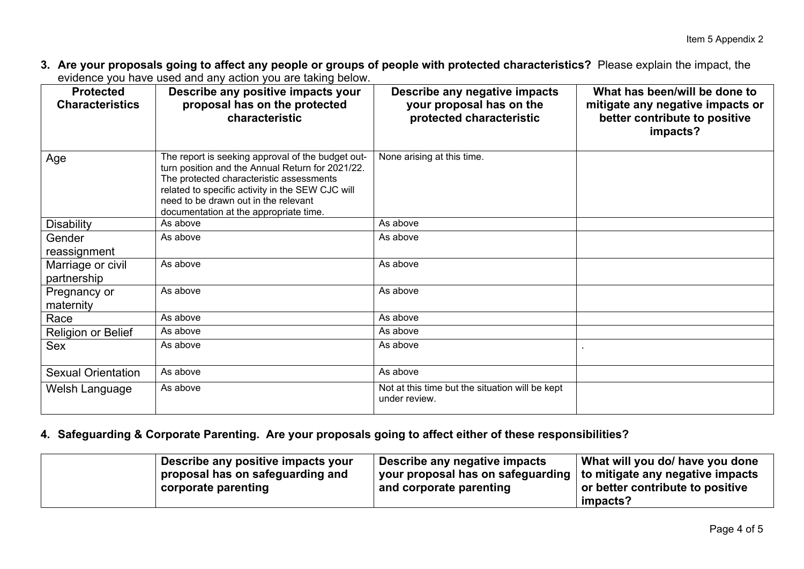**3. Are your proposals going to affect any people or groups of people with protected characteristics?** Please explain the impact, the evidence you have used and any action you are taking below.

| <b>Protected</b><br><b>Characteristics</b> | $\sim$ , a critical position of the contracted service $\sim$ . The contraction of $\sim$<br>Describe any positive impacts your<br>proposal has on the protected<br>characteristic                                                                                                      | Describe any negative impacts<br>your proposal has on the<br>protected characteristic | What has been/will be done to<br>mitigate any negative impacts or<br>better contribute to positive<br>impacts? |
|--------------------------------------------|-----------------------------------------------------------------------------------------------------------------------------------------------------------------------------------------------------------------------------------------------------------------------------------------|---------------------------------------------------------------------------------------|----------------------------------------------------------------------------------------------------------------|
| Age                                        | The report is seeking approval of the budget out-<br>turn position and the Annual Return for 2021/22.<br>The protected characteristic assessments<br>related to specific activity in the SEW CJC will<br>need to be drawn out in the relevant<br>documentation at the appropriate time. | None arising at this time.                                                            |                                                                                                                |
| <b>Disability</b>                          | As above                                                                                                                                                                                                                                                                                | As above                                                                              |                                                                                                                |
| Gender                                     | As above                                                                                                                                                                                                                                                                                | As above                                                                              |                                                                                                                |
| reassignment                               |                                                                                                                                                                                                                                                                                         |                                                                                       |                                                                                                                |
| Marriage or civil<br>partnership           | As above                                                                                                                                                                                                                                                                                | As above                                                                              |                                                                                                                |
| Pregnancy or<br>maternity                  | As above                                                                                                                                                                                                                                                                                | As above                                                                              |                                                                                                                |
| Race                                       | As above                                                                                                                                                                                                                                                                                | As above                                                                              |                                                                                                                |
| Religion or Belief                         | As above                                                                                                                                                                                                                                                                                | As above                                                                              |                                                                                                                |
| Sex                                        | As above                                                                                                                                                                                                                                                                                | As above                                                                              |                                                                                                                |
| <b>Sexual Orientation</b>                  | As above                                                                                                                                                                                                                                                                                | As above                                                                              |                                                                                                                |
| Welsh Language                             | As above                                                                                                                                                                                                                                                                                | Not at this time but the situation will be kept<br>under review.                      |                                                                                                                |

# **4. Safeguarding & Corporate Parenting. Are your proposals going to affect either of these responsibilities?**

| Describe any positive impacts your<br>proposal has on safeguarding and | Describe any negative impacts<br>your proposal has on safeguarding   to mitigate any negative impacts | What will you do/ have you done              |
|------------------------------------------------------------------------|-------------------------------------------------------------------------------------------------------|----------------------------------------------|
| corporate parenting                                                    | and corporate parenting                                                                               | or better contribute to positive<br>impacts? |